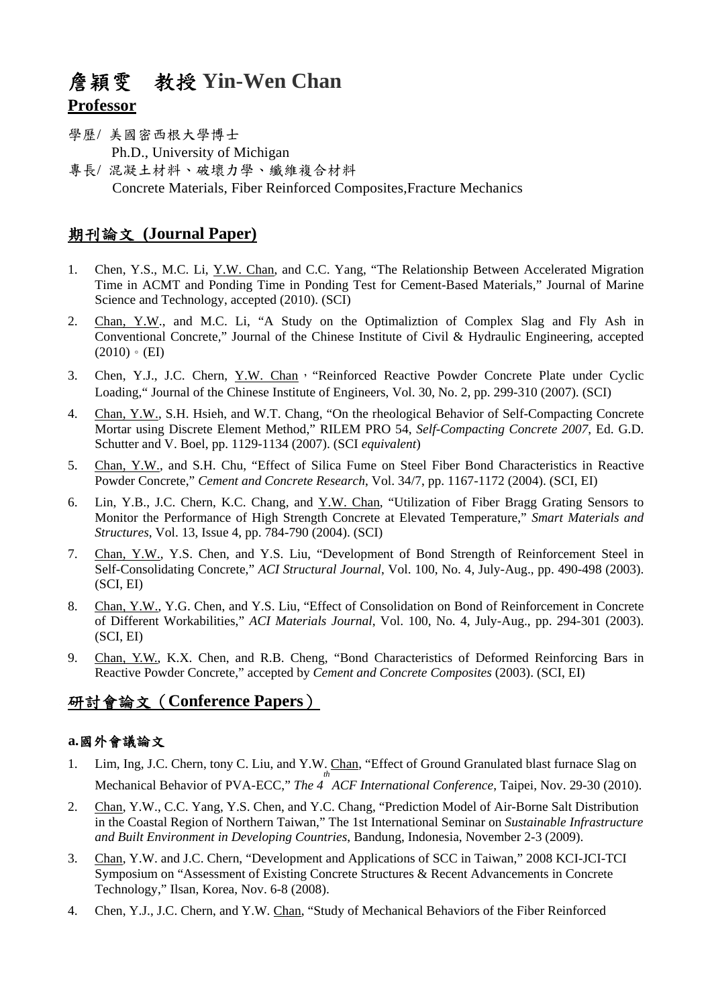# 詹穎雯 教授 **Yin-Wen Chan Professor**

- 學歷/ 美國密西根大學博士 Ph.D., University of Michigan
- 專長/ 混凝土材料、破壞力學、纖維複合材料 Concrete Materials, Fiber Reinforced Composites,Fracture Mechanics

## 期刊論文 **(Journal Paper)**

- 1. Chen, Y.S., M.C. Li, Y.W. Chan, and C.C. Yang, "The Relationship Between Accelerated Migration Time in ACMT and Ponding Time in Ponding Test for Cement-Based Materials," Journal of Marine Science and Technology, accepted (2010). (SCI)
- 2. Chan, Y.W., and M.C. Li, "A Study on the Optimaliztion of Complex Slag and Fly Ash in Conventional Concrete," Journal of the Chinese Institute of Civil & Hydraulic Engineering, accepted  $(2010) \cdot$  (EI)
- 3. Chen, Y.J., J.C. Chern, Y.W. Chan, "Reinforced Reactive Powder Concrete Plate under Cyclic Loading," Journal of the Chinese Institute of Engineers, Vol. 30, No. 2, pp. 299-310 (2007). (SCI)
- 4. Chan, Y.W., S.H. Hsieh, and W.T. Chang, "On the rheological Behavior of Self-Compacting Concrete Mortar using Discrete Element Method," RILEM PRO 54, *Self-Compacting Concrete 2007*, Ed. G.D. Schutter and V. Boel, pp. 1129-1134 (2007). (SCI *equivalent*)
- 5. Chan, Y.W., and S.H. Chu, "Effect of Silica Fume on Steel Fiber Bond Characteristics in Reactive Powder Concrete," *Cement and Concrete Research*, Vol. 34/7, pp. 1167-1172 (2004). (SCI, EI)
- 6. Lin, Y.B., J.C. Chern, K.C. Chang, and Y.W. Chan, "Utilization of Fiber Bragg Grating Sensors to Monitor the Performance of High Strength Concrete at Elevated Temperature," *Smart Materials and Structures*, Vol. 13, Issue 4, pp. 784-790 (2004). (SCI)
- 7. Chan, Y.W., Y.S. Chen, and Y.S. Liu, "Development of Bond Strength of Reinforcement Steel in Self-Consolidating Concrete," *ACI Structural Journal*, Vol. 100, No. 4, July-Aug., pp. 490-498 (2003). (SCI, EI)
- 8. Chan, Y.W., Y.G. Chen, and Y.S. Liu, "Effect of Consolidation on Bond of Reinforcement in Concrete of Different Workabilities," *ACI Materials Journal*, Vol. 100, No. 4, July-Aug., pp. 294-301 (2003). (SCI, EI)
- 9. Chan, Y.W., K.X. Chen, and R.B. Cheng, "Bond Characteristics of Deformed Reinforcing Bars in Reactive Powder Concrete," accepted by *Cement and Concrete Composites* (2003). (SCI, EI)

## 研討會論文(**Conference Papers**)

### **a.**國外會議論文

- 1. Lim, Ing, J.C. Chern, tony C. Liu, and Y.W. Chan, "Effect of Ground Granulated blast furnace Slag on Mechanical Behavior of PVA-ECC," *The 4 th ACF International Conference*, Taipei, Nov. 29-30 (2010).
- 2. Chan, Y.W., C.C. Yang, Y.S. Chen, and Y.C. Chang, "Prediction Model of Air-Borne Salt Distribution in the Coastal Region of Northern Taiwan," The 1st International Seminar on *Sustainable Infrastructure and Built Environment in Developing Countries*, Bandung, Indonesia, November 2-3 (2009).
- 3. Chan, Y.W. and J.C. Chern, "Development and Applications of SCC in Taiwan," 2008 KCI-JCI-TCI Symposium on "Assessment of Existing Concrete Structures & Recent Advancements in Concrete Technology," Ilsan, Korea, Nov. 6-8 (2008).
- 4. Chen, Y.J., J.C. Chern, and Y.W. Chan, "Study of Mechanical Behaviors of the Fiber Reinforced